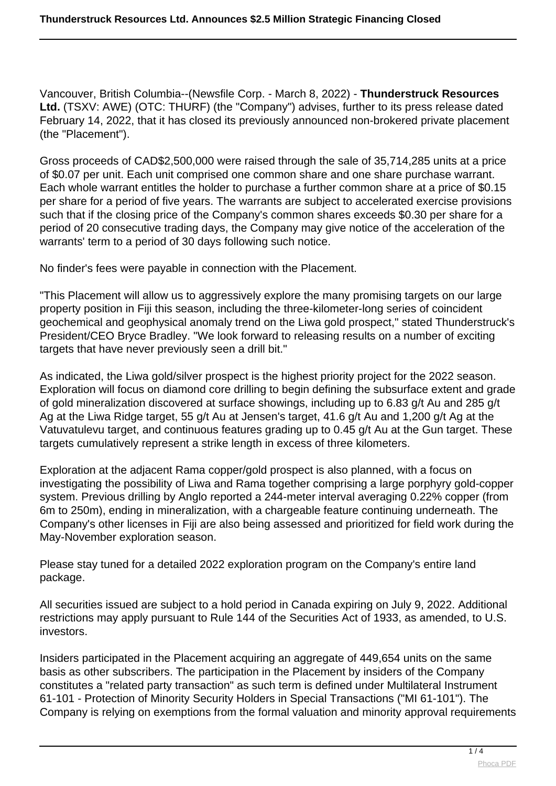Vancouver, British Columbia--(Newsfile Corp. - March 8, 2022) - **Thunderstruck Resources Ltd.** (TSXV: AWE) (OTC: THURF) (the "Company") advises, further to its press release dated February 14, 2022, that it has closed its previously announced non-brokered private placement (the "Placement").

Gross proceeds of CAD\$2,500,000 were raised through the sale of 35,714,285 units at a price of \$0.07 per unit. Each unit comprised one common share and one share purchase warrant. Each whole warrant entitles the holder to purchase a further common share at a price of \$0.15 per share for a period of five years. The warrants are subject to accelerated exercise provisions such that if the closing price of the Company's common shares exceeds \$0.30 per share for a period of 20 consecutive trading days, the Company may give notice of the acceleration of the warrants' term to a period of 30 days following such notice.

No finder's fees were payable in connection with the Placement.

"This Placement will allow us to aggressively explore the many promising targets on our large property position in Fiji this season, including the three-kilometer-long series of coincident geochemical and geophysical anomaly trend on the Liwa gold prospect," stated Thunderstruck's President/CEO Bryce Bradley. "We look forward to releasing results on a number of exciting targets that have never previously seen a drill bit."

As indicated, the Liwa gold/silver prospect is the highest priority project for the 2022 season. Exploration will focus on diamond core drilling to begin defining the subsurface extent and grade of gold mineralization discovered at surface showings, including up to 6.83 g/t Au and 285 g/t Ag at the Liwa Ridge target, 55 g/t Au at Jensen's target, 41.6 g/t Au and 1,200 g/t Ag at the Vatuvatulevu target, and continuous features grading up to 0.45 g/t Au at the Gun target. These targets cumulatively represent a strike length in excess of three kilometers.

Exploration at the adjacent Rama copper/gold prospect is also planned, with a focus on investigating the possibility of Liwa and Rama together comprising a large porphyry gold-copper system. Previous drilling by Anglo reported a 244-meter interval averaging 0.22% copper (from 6m to 250m), ending in mineralization, with a chargeable feature continuing underneath. The Company's other licenses in Fiji are also being assessed and prioritized for field work during the May-November exploration season.

Please stay tuned for a detailed 2022 exploration program on the Company's entire land package.

All securities issued are subject to a hold period in Canada expiring on July 9, 2022. Additional restrictions may apply pursuant to Rule 144 of the Securities Act of 1933, as amended, to U.S. investors.

Insiders participated in the Placement acquiring an aggregate of 449,654 units on the same basis as other subscribers. The participation in the Placement by insiders of the Company constitutes a "related party transaction" as such term is defined under Multilateral Instrument 61-101 - Protection of Minority Security Holders in Special Transactions ("MI 61-101"). The Company is relying on exemptions from the formal valuation and minority approval requirements

 $1 / 4$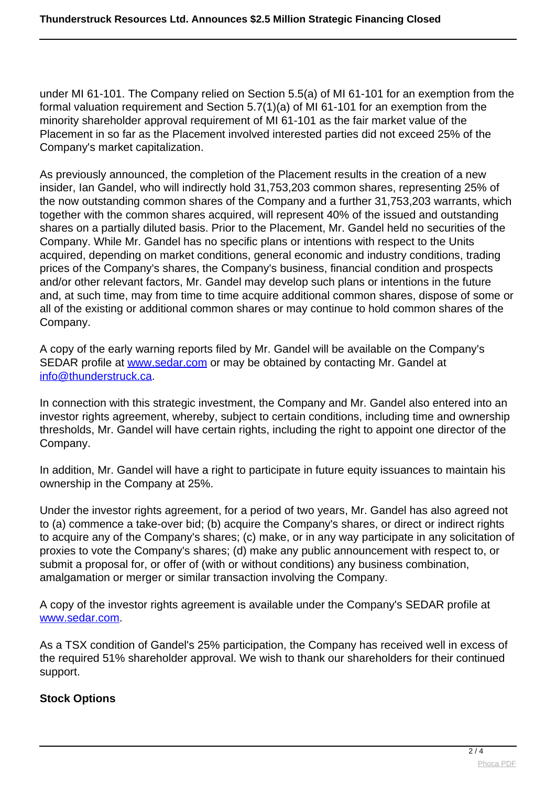under MI 61-101. The Company relied on Section 5.5(a) of MI 61-101 for an exemption from the formal valuation requirement and Section 5.7(1)(a) of MI 61-101 for an exemption from the minority shareholder approval requirement of MI 61-101 as the fair market value of the Placement in so far as the Placement involved interested parties did not exceed 25% of the Company's market capitalization.

As previously announced, the completion of the Placement results in the creation of a new insider, Ian Gandel, who will indirectly hold 31,753,203 common shares, representing 25% of the now outstanding common shares of the Company and a further 31,753,203 warrants, which together with the common shares acquired, will represent 40% of the issued and outstanding shares on a partially diluted basis. Prior to the Placement, Mr. Gandel held no securities of the Company. While Mr. Gandel has no specific plans or intentions with respect to the Units acquired, depending on market conditions, general economic and industry conditions, trading prices of the Company's shares, the Company's business, financial condition and prospects and/or other relevant factors, Mr. Gandel may develop such plans or intentions in the future and, at such time, may from time to time acquire additional common shares, dispose of some or all of the existing or additional common shares or may continue to hold common shares of the Company.

A copy of the early warning reports filed by Mr. Gandel will be available on the Company's SEDAR profile at [www.sedar.com](https://www.newsfilecorp.com/redirect/0K3LkFomX2) or may be obtained by contacting Mr. Gandel at [info@thunderstruck.ca.](mailto:info@thunderstruck.ca)

In connection with this strategic investment, the Company and Mr. Gandel also entered into an investor rights agreement, whereby, subject to certain conditions, including time and ownership thresholds, Mr. Gandel will have certain rights, including the right to appoint one director of the Company.

In addition, Mr. Gandel will have a right to participate in future equity issuances to maintain his ownership in the Company at 25%.

Under the investor rights agreement, for a period of two years, Mr. Gandel has also agreed not to (a) commence a take-over bid; (b) acquire the Company's shares, or direct or indirect rights to acquire any of the Company's shares; (c) make, or in any way participate in any solicitation of proxies to vote the Company's shares; (d) make any public announcement with respect to, or submit a proposal for, or offer of (with or without conditions) any business combination, amalgamation or merger or similar transaction involving the Company.

A copy of the investor rights agreement is available under the Company's SEDAR profile at [www.sedar.com.](https://www.newsfilecorp.com/redirect/RVpQBHDJaJ)

As a TSX condition of Gandel's 25% participation, the Company has received well in excess of the required 51% shareholder approval. We wish to thank our shareholders for their continued support.

## **Stock Options**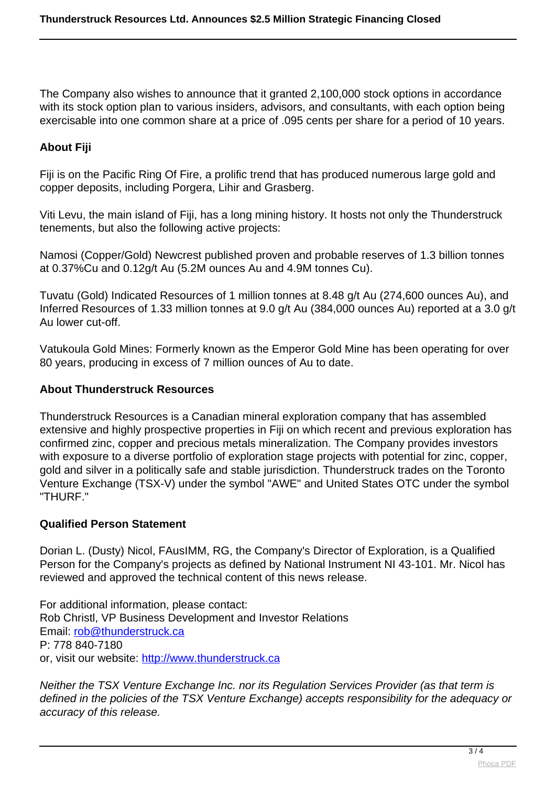The Company also wishes to announce that it granted 2,100,000 stock options in accordance with its stock option plan to various insiders, advisors, and consultants, with each option being exercisable into one common share at a price of .095 cents per share for a period of 10 years.

## **About Fiji**

Fiji is on the Pacific Ring Of Fire, a prolific trend that has produced numerous large gold and copper deposits, including Porgera, Lihir and Grasberg.

Viti Levu, the main island of Fiji, has a long mining history. It hosts not only the Thunderstruck tenements, but also the following active projects:

Namosi (Copper/Gold) Newcrest published proven and probable reserves of 1.3 billion tonnes at 0.37%Cu and 0.12g/t Au (5.2M ounces Au and 4.9M tonnes Cu).

Tuvatu (Gold) Indicated Resources of 1 million tonnes at 8.48 g/t Au (274,600 ounces Au), and Inferred Resources of 1.33 million tonnes at 9.0 g/t Au (384,000 ounces Au) reported at a 3.0 g/t Au lower cut-off.

Vatukoula Gold Mines: Formerly known as the Emperor Gold Mine has been operating for over 80 years, producing in excess of 7 million ounces of Au to date.

## **About Thunderstruck Resources**

Thunderstruck Resources is a Canadian mineral exploration company that has assembled extensive and highly prospective properties in Fiji on which recent and previous exploration has confirmed zinc, copper and precious metals mineralization. The Company provides investors with exposure to a diverse portfolio of exploration stage projects with potential for zinc, copper, gold and silver in a politically safe and stable jurisdiction. Thunderstruck trades on the Toronto Venture Exchange (TSX-V) under the symbol "AWE" and United States OTC under the symbol "THURF."

## **Qualified Person Statement**

Dorian L. (Dusty) Nicol, FAusIMM, RG, the Company's Director of Exploration, is a Qualified Person for the Company's projects as defined by National Instrument NI 43-101. Mr. Nicol has reviewed and approved the technical content of this news release.

For additional information, please contact: Rob Christl, VP Business Development and Investor Relations Email: [rob@thunderstruck.ca](mailto:rob@thunderstruck.ca) P: 778 840-7180 or, visit our website: [http://www.thunderstruck.ca](https://www.newsfilecorp.com/redirect/WrVLPhq5vB)

Neither the TSX Venture Exchange Inc. nor its Regulation Services Provider (as that term is defined in the policies of the TSX Venture Exchange) accepts responsibility for the adequacy or accuracy of this release.